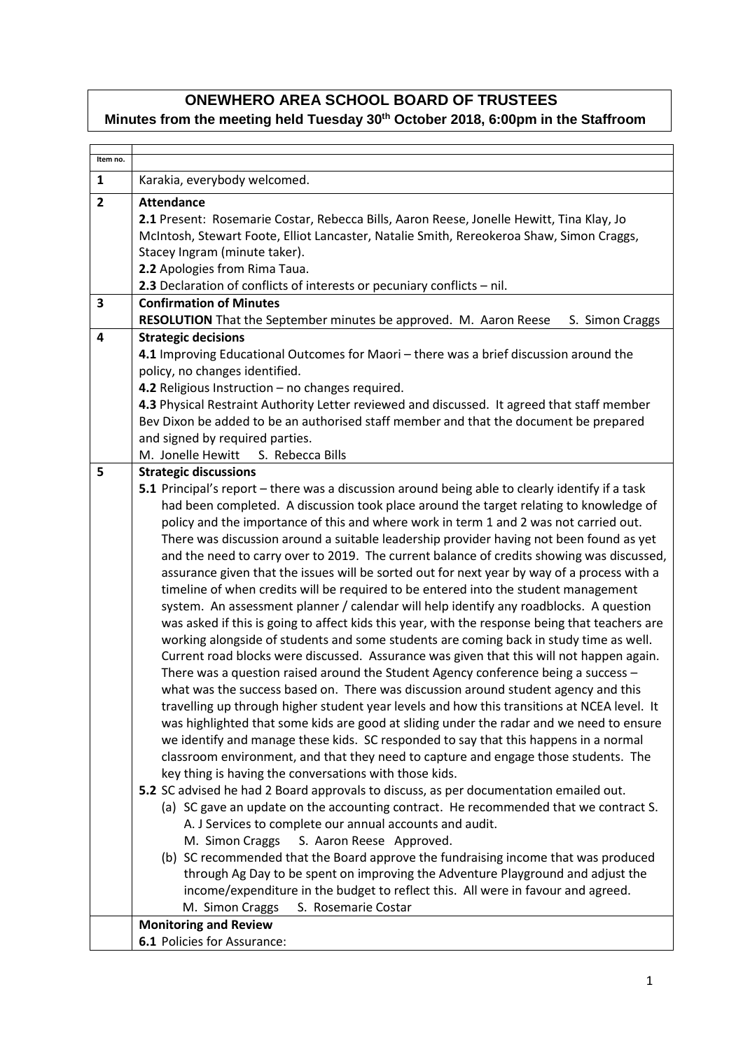## **ONEWHERO AREA SCHOOL BOARD OF TRUSTEES**

## **Minutes from the meeting held Tuesday 30th October 2018, 6:00pm in the Staffroom**

| Item no.                |                                                                                                                                                                                                                                                                                                                                                                                                                                                                                                                                                                                                                                                                                                                                                                                                                                                                                                                                                                                                                                                                                                                                                                                                                                                                                                                                                                                                                                                                                                                                                                                                                                                                                                                                                                                                                                                                                                                                                                                                                                                                                                                                                                    |  |  |
|-------------------------|--------------------------------------------------------------------------------------------------------------------------------------------------------------------------------------------------------------------------------------------------------------------------------------------------------------------------------------------------------------------------------------------------------------------------------------------------------------------------------------------------------------------------------------------------------------------------------------------------------------------------------------------------------------------------------------------------------------------------------------------------------------------------------------------------------------------------------------------------------------------------------------------------------------------------------------------------------------------------------------------------------------------------------------------------------------------------------------------------------------------------------------------------------------------------------------------------------------------------------------------------------------------------------------------------------------------------------------------------------------------------------------------------------------------------------------------------------------------------------------------------------------------------------------------------------------------------------------------------------------------------------------------------------------------------------------------------------------------------------------------------------------------------------------------------------------------------------------------------------------------------------------------------------------------------------------------------------------------------------------------------------------------------------------------------------------------------------------------------------------------------------------------------------------------|--|--|
| $\mathbf{1}$            | Karakia, everybody welcomed.                                                                                                                                                                                                                                                                                                                                                                                                                                                                                                                                                                                                                                                                                                                                                                                                                                                                                                                                                                                                                                                                                                                                                                                                                                                                                                                                                                                                                                                                                                                                                                                                                                                                                                                                                                                                                                                                                                                                                                                                                                                                                                                                       |  |  |
| $\overline{2}$          | <b>Attendance</b><br>2.1 Present: Rosemarie Costar, Rebecca Bills, Aaron Reese, Jonelle Hewitt, Tina Klay, Jo<br>McIntosh, Stewart Foote, Elliot Lancaster, Natalie Smith, Rereokeroa Shaw, Simon Craggs,<br>Stacey Ingram (minute taker).<br>2.2 Apologies from Rima Taua.<br>2.3 Declaration of conflicts of interests or pecuniary conflicts - nil.                                                                                                                                                                                                                                                                                                                                                                                                                                                                                                                                                                                                                                                                                                                                                                                                                                                                                                                                                                                                                                                                                                                                                                                                                                                                                                                                                                                                                                                                                                                                                                                                                                                                                                                                                                                                             |  |  |
| 3                       | <b>Confirmation of Minutes</b><br>RESOLUTION That the September minutes be approved. M. Aaron Reese<br>S. Simon Craggs                                                                                                                                                                                                                                                                                                                                                                                                                                                                                                                                                                                                                                                                                                                                                                                                                                                                                                                                                                                                                                                                                                                                                                                                                                                                                                                                                                                                                                                                                                                                                                                                                                                                                                                                                                                                                                                                                                                                                                                                                                             |  |  |
| $\overline{\mathbf{4}}$ | <b>Strategic decisions</b><br>4.1 Improving Educational Outcomes for Maori - there was a brief discussion around the<br>policy, no changes identified.<br>4.2 Religious Instruction - no changes required.<br>4.3 Physical Restraint Authority Letter reviewed and discussed. It agreed that staff member<br>Bev Dixon be added to be an authorised staff member and that the document be prepared<br>and signed by required parties.<br>M. Jonelle Hewitt<br>S. Rebecca Bills                                                                                                                                                                                                                                                                                                                                                                                                                                                                                                                                                                                                                                                                                                                                                                                                                                                                                                                                                                                                                                                                                                                                                                                                                                                                                                                                                                                                                                                                                                                                                                                                                                                                                     |  |  |
| 5                       | <b>Strategic discussions</b><br>5.1 Principal's report - there was a discussion around being able to clearly identify if a task                                                                                                                                                                                                                                                                                                                                                                                                                                                                                                                                                                                                                                                                                                                                                                                                                                                                                                                                                                                                                                                                                                                                                                                                                                                                                                                                                                                                                                                                                                                                                                                                                                                                                                                                                                                                                                                                                                                                                                                                                                    |  |  |
|                         | had been completed. A discussion took place around the target relating to knowledge of<br>policy and the importance of this and where work in term 1 and 2 was not carried out.<br>There was discussion around a suitable leadership provider having not been found as yet<br>and the need to carry over to 2019. The current balance of credits showing was discussed,<br>assurance given that the issues will be sorted out for next year by way of a process with a<br>timeline of when credits will be required to be entered into the student management<br>system. An assessment planner / calendar will help identify any roadblocks. A question<br>was asked if this is going to affect kids this year, with the response being that teachers are<br>working alongside of students and some students are coming back in study time as well.<br>Current road blocks were discussed. Assurance was given that this will not happen again.<br>There was a question raised around the Student Agency conference being a success -<br>what was the success based on. There was discussion around student agency and this<br>travelling up through higher student year levels and how this transitions at NCEA level. It<br>was highlighted that some kids are good at sliding under the radar and we need to ensure<br>we identify and manage these kids. SC responded to say that this happens in a normal<br>classroom environment, and that they need to capture and engage those students. The<br>key thing is having the conversations with those kids.<br>5.2 SC advised he had 2 Board approvals to discuss, as per documentation emailed out.<br>(a) SC gave an update on the accounting contract. He recommended that we contract S.<br>A. J Services to complete our annual accounts and audit.<br>M. Simon Craggs<br>S. Aaron Reese Approved.<br>(b) SC recommended that the Board approve the fundraising income that was produced<br>through Ag Day to be spent on improving the Adventure Playground and adjust the<br>income/expenditure in the budget to reflect this. All were in favour and agreed.<br>S. Rosemarie Costar<br>M. Simon Craggs |  |  |
|                         | <b>Monitoring and Review</b>                                                                                                                                                                                                                                                                                                                                                                                                                                                                                                                                                                                                                                                                                                                                                                                                                                                                                                                                                                                                                                                                                                                                                                                                                                                                                                                                                                                                                                                                                                                                                                                                                                                                                                                                                                                                                                                                                                                                                                                                                                                                                                                                       |  |  |
|                         | 6.1 Policies for Assurance:                                                                                                                                                                                                                                                                                                                                                                                                                                                                                                                                                                                                                                                                                                                                                                                                                                                                                                                                                                                                                                                                                                                                                                                                                                                                                                                                                                                                                                                                                                                                                                                                                                                                                                                                                                                                                                                                                                                                                                                                                                                                                                                                        |  |  |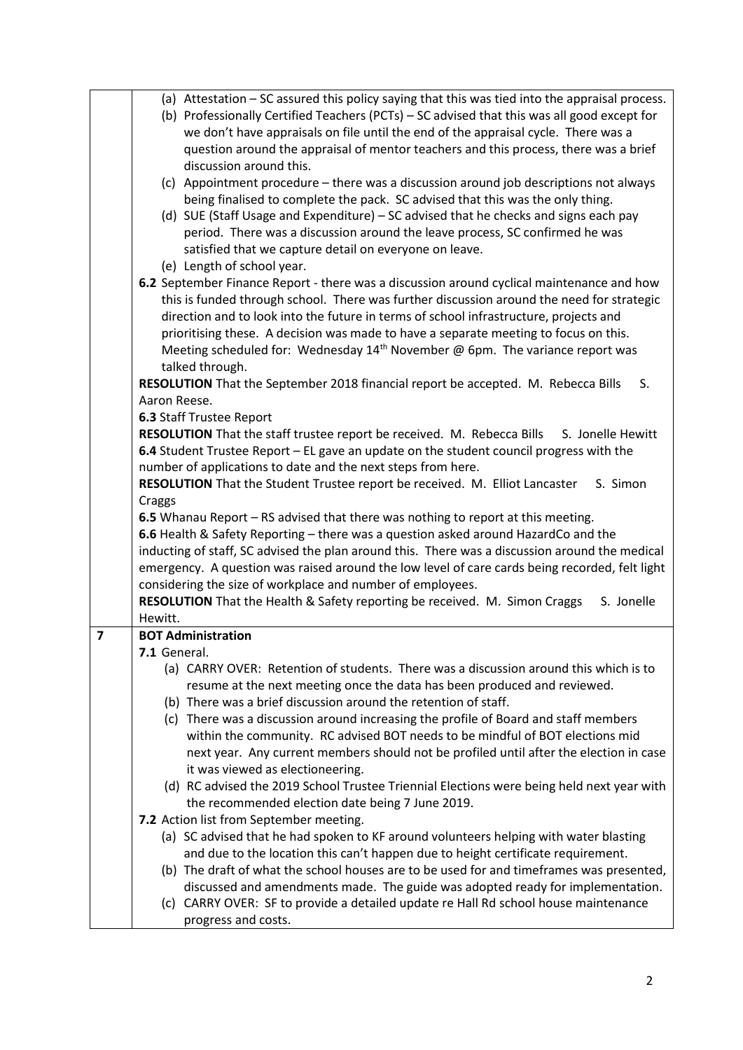|                         | (a) Attestation – SC assured this policy saying that this was tied into the appraisal process. |  |  |
|-------------------------|------------------------------------------------------------------------------------------------|--|--|
|                         | (b) Professionally Certified Teachers (PCTs) - SC advised that this was all good except for    |  |  |
|                         | we don't have appraisals on file until the end of the appraisal cycle. There was a             |  |  |
|                         | question around the appraisal of mentor teachers and this process, there was a brief           |  |  |
|                         | discussion around this.                                                                        |  |  |
|                         | (c) Appointment procedure - there was a discussion around job descriptions not always          |  |  |
|                         | being finalised to complete the pack. SC advised that this was the only thing.                 |  |  |
|                         | (d) SUE (Staff Usage and Expenditure) – SC advised that he checks and signs each pay           |  |  |
|                         | period. There was a discussion around the leave process, SC confirmed he was                   |  |  |
|                         | satisfied that we capture detail on everyone on leave.                                         |  |  |
|                         | (e) Length of school year.                                                                     |  |  |
|                         | 6.2 September Finance Report - there was a discussion around cyclical maintenance and how      |  |  |
|                         | this is funded through school. There was further discussion around the need for strategic      |  |  |
|                         | direction and to look into the future in terms of school infrastructure, projects and          |  |  |
|                         | prioritising these. A decision was made to have a separate meeting to focus on this.           |  |  |
|                         | Meeting scheduled for: Wednesday $14th$ November @ 6pm. The variance report was                |  |  |
|                         | talked through.                                                                                |  |  |
|                         | RESOLUTION That the September 2018 financial report be accepted. M. Rebecca Bills<br>S.        |  |  |
|                         | Aaron Reese.                                                                                   |  |  |
|                         | 6.3 Staff Trustee Report                                                                       |  |  |
|                         | RESOLUTION That the staff trustee report be received. M. Rebecca Bills<br>S. Jonelle Hewitt    |  |  |
|                         | 6.4 Student Trustee Report – EL gave an update on the student council progress with the        |  |  |
|                         | number of applications to date and the next steps from here.                                   |  |  |
|                         | RESOLUTION That the Student Trustee report be received. M. Elliot Lancaster<br>S. Simon        |  |  |
|                         | Craggs                                                                                         |  |  |
|                         | 6.5 Whanau Report - RS advised that there was nothing to report at this meeting.               |  |  |
|                         | 6.6 Health & Safety Reporting - there was a question asked around HazardCo and the             |  |  |
|                         | inducting of staff, SC advised the plan around this. There was a discussion around the medical |  |  |
|                         | emergency. A question was raised around the low level of care cards being recorded, felt light |  |  |
|                         | considering the size of workplace and number of employees.                                     |  |  |
|                         | RESOLUTION That the Health & Safety reporting be received. M. Simon Craggs<br>S. Jonelle       |  |  |
|                         | Hewitt.                                                                                        |  |  |
| $\overline{\mathbf{z}}$ | <b>BOT Administration</b>                                                                      |  |  |
|                         | 7.1 General.                                                                                   |  |  |
|                         | (a) CARRY OVER: Retention of students. There was a discussion around this which is to          |  |  |
|                         | resume at the next meeting once the data has been produced and reviewed.                       |  |  |
|                         | (b) There was a brief discussion around the retention of staff.                                |  |  |
|                         | (c) There was a discussion around increasing the profile of Board and staff members            |  |  |
|                         | within the community. RC advised BOT needs to be mindful of BOT elections mid                  |  |  |
|                         | next year. Any current members should not be profiled until after the election in case         |  |  |
|                         | it was viewed as electioneering.                                                               |  |  |
|                         | (d) RC advised the 2019 School Trustee Triennial Elections were being held next year with      |  |  |
|                         | the recommended election date being 7 June 2019.                                               |  |  |
|                         | 7.2 Action list from September meeting.                                                        |  |  |
|                         | (a) SC advised that he had spoken to KF around volunteers helping with water blasting          |  |  |
|                         | and due to the location this can't happen due to height certificate requirement.               |  |  |
|                         | (b) The draft of what the school houses are to be used for and timeframes was presented,       |  |  |
|                         | discussed and amendments made. The guide was adopted ready for implementation.                 |  |  |
|                         | (c) CARRY OVER: SF to provide a detailed update re Hall Rd school house maintenance            |  |  |
|                         | progress and costs.                                                                            |  |  |